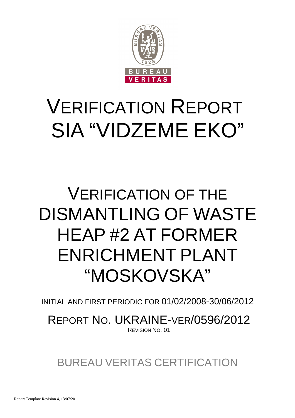

## VERIFICATION REPORT SIA "VIDZEME EKO"

## VERIFICATION OF THE DISMANTLING OF WASTE HEAP #2 AT FORMER ENRICHMENT PLANT "MOSKOVSKA"

INITIAL AND FIRST PERIODIC FOR 01/02/2008-30/06/2012

REPORT NO. UKRAINE-VER/0596/2012 REVISION NO. 01

BUREAU VERITAS CERTIFICATION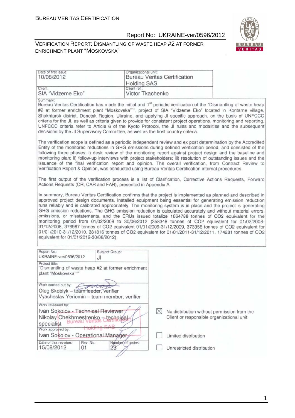#### VERIFICATION REPORT: DISMANTLING OF WASTE HEAP #2 AT FORMER ENRICHMENT PLANT "MOSKOVSKA"



| Date of first issue:<br>10/08/2012                                                                                                                                                                                                                                                                                                                                                                                                                                                                                                                                                                                                                                                                                                                                                                              | Organizational unit:               |                  | <b>Bureau Veritas Certification</b>         |  |
|-----------------------------------------------------------------------------------------------------------------------------------------------------------------------------------------------------------------------------------------------------------------------------------------------------------------------------------------------------------------------------------------------------------------------------------------------------------------------------------------------------------------------------------------------------------------------------------------------------------------------------------------------------------------------------------------------------------------------------------------------------------------------------------------------------------------|------------------------------------|------------------|---------------------------------------------|--|
| Client:                                                                                                                                                                                                                                                                                                                                                                                                                                                                                                                                                                                                                                                                                                                                                                                                         | <b>Holding SAS</b><br>Client ref.: |                  |                                             |  |
| SIA "Vidzeme Eko"                                                                                                                                                                                                                                                                                                                                                                                                                                                                                                                                                                                                                                                                                                                                                                                               |                                    | Victor Tkachenko |                                             |  |
| Summary:<br>Bureau Veritas Certification has made the initial and 1 <sup>st</sup> periodic verification of the "Dismantling of waste heap<br>#2 at former enrichment plant "Moskovska"", project of SIA "Vidzeme Eko" located in Kontarne village,<br>Shakhtarsk district, Donetsk Region, Ukraine, and applying JI specific approach, on the basis of UNFCCC<br>criteria for the JI, as well as criteria given to provide for consistent project operations, monitoring and reporting.<br>UNFCCC criteria refer to Article 6 of the Kyoto Protocol, the JI rules and modalities and the subsequent<br>decisions by the JI Supervisory Committee, as well as the host country criteria.                                                                                                                         |                                    |                  |                                             |  |
| The verification scope is defined as a periodic independent review and ex post determination by the Accredited<br>Entity of the monitored reductions in GHG emissions during defined verification period, and consisted of the<br>following three phases: i) desk review of the monitoring report against project design and the baseline and<br>monitoring plan; ii) follow-up interviews with project stakeholders; iii) resolution of outstanding issues and the<br>issuance of the final verification report and opinion. The overall verification, from Contract Review to<br>Verification Report & Opinion, was conducted using Bureau Veritas Certification internal procedures.<br>The first output of the verification process is a list of Clarification, Corrective Actions Requests, Forward        |                                    |                  |                                             |  |
| Actions Requests (CR, CAR and FAR), presented in Appendix A.                                                                                                                                                                                                                                                                                                                                                                                                                                                                                                                                                                                                                                                                                                                                                    |                                    |                  |                                             |  |
| approved project design documents. Installed equipment being essential for generating emission reduction<br>runs reliably and is calibrated appropriately. The monitoring system is in place and the project is generating<br>GHG emission reductions. The GHG emission reduction is calculated accurately and without material errors,<br>omissions, or misstatements, and the ERUs issued totalize 1664788 tonnes of CO2 equivalent for the<br>monitoring period from 01/02/2008 to 30/06/2012 (358348 tonnes of CO2 equivalent for 01/02/2008-<br>31/12/2008, 376987 tonnes of CO2 equivalent 01/01/2009-31/12/2009, 373356 tonnes of CO2 equivalent for<br>01/01/2010-31/12/2010, 381816 tonnes of CO2 equivalent for 01/01/2011-31/12/2011, 174281 tonnes of CO2<br>equivalent for 01/01/2012-30/06/2012). |                                    |                  |                                             |  |
| Report No.:                                                                                                                                                                                                                                                                                                                                                                                                                                                                                                                                                                                                                                                                                                                                                                                                     | Subject Group:                     |                  |                                             |  |
| UKRAINE-ver/0596/2012                                                                                                                                                                                                                                                                                                                                                                                                                                                                                                                                                                                                                                                                                                                                                                                           | JI                                 |                  |                                             |  |
| Project title:<br>"Dismantling of waste heap #2 at former enrichment<br>plant "Moskovska""                                                                                                                                                                                                                                                                                                                                                                                                                                                                                                                                                                                                                                                                                                                      |                                    |                  |                                             |  |
| Work carried out by:                                                                                                                                                                                                                                                                                                                                                                                                                                                                                                                                                                                                                                                                                                                                                                                            |                                    |                  |                                             |  |
| Oleg Skoblyk - team leader, verifier                                                                                                                                                                                                                                                                                                                                                                                                                                                                                                                                                                                                                                                                                                                                                                            |                                    |                  |                                             |  |
| Vyacheslav Yeriomin - team member, verifier                                                                                                                                                                                                                                                                                                                                                                                                                                                                                                                                                                                                                                                                                                                                                                     |                                    |                  |                                             |  |
| Work reviewed by:                                                                                                                                                                                                                                                                                                                                                                                                                                                                                                                                                                                                                                                                                                                                                                                               |                                    |                  |                                             |  |
| Ivan Sokolov - Technical Reviewer                                                                                                                                                                                                                                                                                                                                                                                                                                                                                                                                                                                                                                                                                                                                                                               |                                    | M                | No distribution without permission from the |  |
| Nikolay Chekhmestrenko - technical                                                                                                                                                                                                                                                                                                                                                                                                                                                                                                                                                                                                                                                                                                                                                                              |                                    |                  | Client or responsible organizational unit   |  |
| ureau ventas<br>specialist                                                                                                                                                                                                                                                                                                                                                                                                                                                                                                                                                                                                                                                                                                                                                                                      |                                    |                  |                                             |  |
| Work approved by:                                                                                                                                                                                                                                                                                                                                                                                                                                                                                                                                                                                                                                                                                                                                                                                               | Holding SAS                        |                  |                                             |  |
| Ivan Sokolov - Operational Manager                                                                                                                                                                                                                                                                                                                                                                                                                                                                                                                                                                                                                                                                                                                                                                              |                                    |                  | Limited distribution                        |  |
| Date of this revision:<br>Rev. No.:<br>15/08/2012<br>01                                                                                                                                                                                                                                                                                                                                                                                                                                                                                                                                                                                                                                                                                                                                                         | Number of pages:<br>23             |                  | Unrestricted distribution                   |  |
|                                                                                                                                                                                                                                                                                                                                                                                                                                                                                                                                                                                                                                                                                                                                                                                                                 |                                    |                  |                                             |  |

1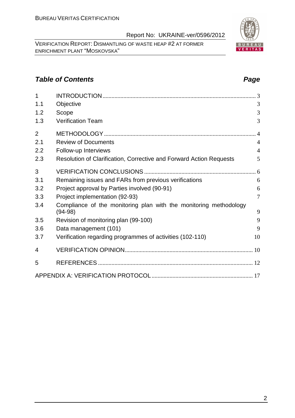VERIFICATION REPORT: DISMANTLING OF WASTE HEAP #2 AT FORMER ENRICHMENT PLANT "MOSKOVSKA"

#### **Table of Contents Page 2014**

| $\overline{1}$ |                                                                                |                |
|----------------|--------------------------------------------------------------------------------|----------------|
| 1.1            | Objective                                                                      | 3              |
| 1.2            | Scope                                                                          | 3              |
| 1.3            | <b>Verification Team</b>                                                       | 3              |
| $\overline{2}$ |                                                                                | $\overline{4}$ |
| 2.1            | <b>Review of Documents</b>                                                     | $\overline{4}$ |
| 2.2            | Follow-up Interviews                                                           | $\overline{4}$ |
| 2.3            | Resolution of Clarification, Corrective and Forward Action Requests            | 5              |
| 3              |                                                                                |                |
| 3.1            | Remaining issues and FARs from previous verifications                          | 6              |
| 3.2            | Project approval by Parties involved (90-91)                                   | 6              |
| 3.3            | Project implementation (92-93)                                                 | $\tau$         |
| 3.4            | Compliance of the monitoring plan with the monitoring methodology<br>$(94-98)$ | 9              |
| 3.5            | Revision of monitoring plan (99-100)                                           | 9              |
| 3.6            | Data management (101)                                                          | 9              |
| 3.7            | Verification regarding programmes of activities (102-110)                      | 10             |
| 4              |                                                                                |                |
| 5              |                                                                                |                |
|                |                                                                                |                |

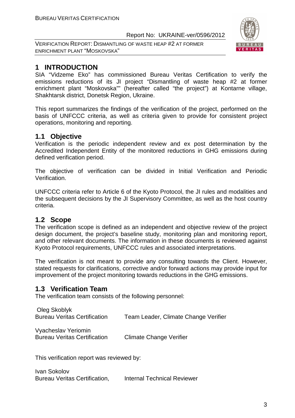VERIFICATION REPORT: DISMANTLING OF WASTE HEAP #2 AT FORMER ENRICHMENT PLANT "MOSKOVSKA"



#### **1 INTRODUCTION**

SIA "Vidzeme Eko" has commissioned Bureau Veritas Certification to verify the emissions reductions of its JI project "Dismantling of waste heap #2 at former enrichment plant "Moskovska"" (hereafter called "the project") at Kontarne village, Shakhtarsk district, Donetsk Region, Ukraine.

This report summarizes the findings of the verification of the project, performed on the basis of UNFCCC criteria, as well as criteria given to provide for consistent project operations, monitoring and reporting.

#### **1.1 Objective**

Verification is the periodic independent review and ex post determination by the Accredited Independent Entity of the monitored reductions in GHG emissions during defined verification period.

The objective of verification can be divided in Initial Verification and Periodic Verification.

UNFCCC criteria refer to Article 6 of the Kyoto Protocol, the JI rules and modalities and the subsequent decisions by the JI Supervisory Committee, as well as the host country criteria.

#### **1.2 Scope**

The verification scope is defined as an independent and objective review of the project design document, the project's baseline study, monitoring plan and monitoring report, and other relevant documents. The information in these documents is reviewed against Kyoto Protocol requirements, UNFCCC rules and associated interpretations.

The verification is not meant to provide any consulting towards the Client. However, stated requests for clarifications, corrective and/or forward actions may provide input for improvement of the project monitoring towards reductions in the GHG emissions.

#### **1.3 Verification Team**

The verification team consists of the following personnel:

| Oleg Skoblyk                        |                                      |
|-------------------------------------|--------------------------------------|
| <b>Bureau Veritas Certification</b> | Team Leader, Climate Change Verifier |
|                                     |                                      |

Vyacheslav Yeriomin Bureau Veritas Certification Climate Change Verifier

This verification report was reviewed by:

Ivan Sokolov Bureau Veritas Certification, Internal Technical Reviewer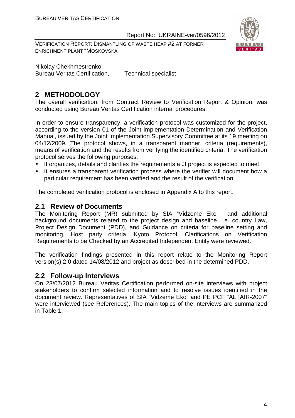VERIFICATION REPORT: DISMANTLING OF WASTE HEAP #2 AT FORMER ENRICHMENT PLANT "MOSKOVSKA"



Nikolay Chekhmestrenko Bureau Veritas Certification, Technical specialist

#### **2 METHODOLOGY**

The overall verification, from Contract Review to Verification Report & Opinion, was conducted using Bureau Veritas Certification internal procedures.

In order to ensure transparency, a verification protocol was customized for the project, according to the version 01 of the Joint Implementation Determination and Verification Manual, issued by the Joint Implementation Supervisory Committee at its 19 meeting on 04/12/2009. The protocol shows, in a transparent manner, criteria (requirements), means of verification and the results from verifying the identified criteria. The verification protocol serves the following purposes:

- It organizes, details and clarifies the requirements a JI project is expected to meet;
- It ensures a transparent verification process where the verifier will document how a particular requirement has been verified and the result of the verification.

The completed verification protocol is enclosed in Appendix A to this report.

#### **2.1 Review of Documents**

The Monitoring Report (MR) submitted by SIA "Vidzeme Eko" and additional background documents related to the project design and baseline, i.e. country Law, Project Design Document (PDD), and Guidance on criteria for baseline setting and monitoring, Host party criteria, Kyoto Protocol, Clarifications on Verification Requirements to be Checked by an Accredited Independent Entity were reviewed.

The verification findings presented in this report relate to the Monitoring Report version(s) 2.0 dated 14/08/2012 and project as described in the determined PDD.

#### **2.2 Follow-up Interviews**

On 23/07/2012 Bureau Veritas Certification performed on-site interviews with project stakeholders to confirm selected information and to resolve issues identified in the document review. Representatives of SIA "Vidzeme Eko" and PE PCF "ALTAIR-2007" were interviewed (see References). The main topics of the interviews are summarized in Table 1.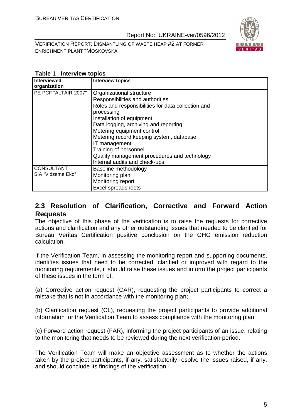VERIFICATION REPORT: DISMANTLING OF WASTE HEAP #2 AT FORMER ENRICHMENT PLANT "MOSKOVSKA"



| <b>Interviewed</b>   | <b>Interview topics</b>                            |
|----------------------|----------------------------------------------------|
| organization         |                                                    |
| PE PCF "ALTAIR-2007" | Organizational structure                           |
|                      | Responsibilities and authorities                   |
|                      | Roles and responsibilities for data collection and |
|                      | processing                                         |
|                      | Installation of equipment                          |
|                      | Data logging, archiving and reporting              |
|                      | Metering equipment control                         |
|                      | Metering record keeping system, database           |
|                      | IT management                                      |
|                      | Training of personnel                              |
|                      | Quality management procedures and technology       |
|                      | Internal audits and check-ups                      |
| <b>CONSULTANT</b>    | Baseline methodology                               |
| SIA "Vidzeme Eko"    | Monitoring plan                                    |
|                      | Monitoring report                                  |
|                      | <b>Excel spreadsheets</b>                          |

#### **Table 1 Interview topics**

#### **2.3 Resolution of Clarification, Corrective and Forward Action Requests**

The objective of this phase of the verification is to raise the requests for corrective actions and clarification and any other outstanding issues that needed to be clarified for Bureau Veritas Certification positive conclusion on the GHG emission reduction calculation.

If the Verification Team, in assessing the monitoring report and supporting documents, identifies issues that need to be corrected, clarified or improved with regard to the monitoring requirements, it should raise these issues and inform the project participants of these issues in the form of:

(a) Corrective action request (CAR), requesting the project participants to correct a mistake that is not in accordance with the monitoring plan;

(b) Clarification request (CL), requesting the project participants to provide additional information for the Verification Team to assess compliance with the monitoring plan;

(c) Forward action request (FAR), informing the project participants of an issue, relating to the monitoring that needs to be reviewed during the next verification period.

The Verification Team will make an objective assessment as to whether the actions taken by the project participants, if any, satisfactorily resolve the issues raised, if any, and should conclude its findings of the verification.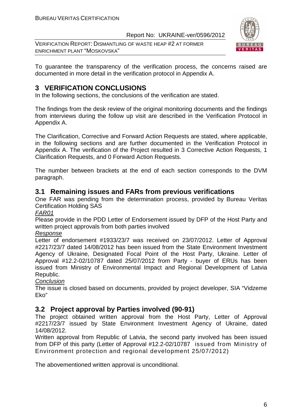VERIFICATION REPORT: DISMANTLING OF WASTE HEAP #2 AT FORMER ENRICHMENT PLANT "MOSKOVSKA"



To guarantee the transparency of the verification process, the concerns raised are documented in more detail in the verification protocol in Appendix A.

#### **3 VERIFICATION CONCLUSIONS**

In the following sections, the conclusions of the verification are stated.

The findings from the desk review of the original monitoring documents and the findings from interviews during the follow up visit are described in the Verification Protocol in Appendix A.

The Clarification, Corrective and Forward Action Requests are stated, where applicable, in the following sections and are further documented in the Verification Protocol in Appendix A. The verification of the Project resulted in 3 Corrective Action Requests, 1 Clarification Requests, and 0 Forward Action Requests.

The number between brackets at the end of each section corresponds to the DVM paragraph.

#### **3.1 Remaining issues and FARs from previous verifications**

One FAR was pending from the determination process, provided by Bureau Veritas Certification Holding SAS

FAR01

Please provide in the PDD Letter of Endorsement issued by DFP of the Host Party and written project approvals from both parties involved

#### Response

Letter of endorsement #1933/23/7 was received on 23/07/2012. Letter of Approval #2217/23/7 dated 14/08/2012 has been issued from the State Environment Investment Agency of Ukraine, Designated Focal Point of the Host Party, Ukraine. Letter of Approval #12.2-02/10787 dated 25/07/2012 from Party - buyer of ERUs has been issued from Ministry of Environmental Impact and Regional Development of Latvia Republic.

#### **Conclusion**

The issue is closed based on documents, provided by project developer, SIA "Vidzeme Eko"

#### **3.2 Project approval by Parties involved (90-91)**

The project obtained written approval from the Host Party, Letter of Approval #2217/23/7 issued by State Environment Investment Agency of Ukraine, dated 14/08/2012.

Written approval from Republic of Latvia, the second party involved has been issued from DFP of this party (Letter of Approval #12.2-02/10787 issued from Ministry of Environment protection and regional development 25/07/2012)

The abovementioned written approval is unconditional.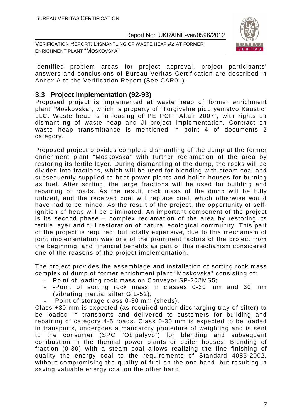VERIFICATION REPORT: DISMANTLING OF WASTE HEAP #2 AT FORMER ENRICHMENT PLANT "MOSKOVSKA"



Identified problem areas for project approval, project participants' answers and conclusions of Bureau Veritas Certification are described in Annex A to the Verification Report (See CAR01).

#### **3.3 Project implementation (92-93)**

Proposed project is implemented at waste heap of former enrichment plant "Moskovska", which is property of "Torgivelne pidpryemstvo Kaustic" LLC. Waste heap is in leasing of PE PCF "Altair 2007", with rights on dismantling of waste heap and JI project implementation. Contract on waste heap transmittance is mentioned in point 4 of documents 2 category.

Proposed project provides complete dismantling of the dump at the former enrichment plant "Moskovska" with further reclamation of the area by restoring its fertile layer. During dismantling of the dump, the rocks will be divided into fractions, which will be used for blending with steam coal and subsequently supplied to heat power plants and boiler houses for burning as fuel. After sorting, the large fractions will be used for building and repairing of roads. As the result, rock mass of the dump will be fully utilized, and the received coal will replace coal, which otherwise would have had to be mined. As the result of the project, the opportunity of selfignition of heap will be eliminated. An important component of the project is its second phase – complex reclamation of the area by restoring its fertile layer and full restoration of natural ecological community. This part of the project is required, but totally expensive, due to this mechanism of joint implementation was one of the prominent factors of the project from the beginning, and financial benefits as part of this mechanism considered one of the reasons of the project implementation.

The project provides the assemblage and installation of sorting rock mass complex of dump of former enrichment plant "Moskovska" consisting of:

- Point of loading rock mass on Conveyor SP-202MS5;
- -Point of sorting rock mass in classes 0-30 mm and 30 mm (vibrating inertial sifter GIL-52);
- Point of storage class 0-30 mm (sheds).

Class +30 mm is expected (as required under discharging tray of sifter) to be loaded in transports and delivered to customers for building and repairing of category 4-5 roads. Class 0-30 mm is expected to be loaded in transports, undergoes a mandatory procedure of weighting and is sent to the consumer (SPC "Oblpalyvo") for blending and subsequent combustion in the thermal power plants or boiler houses. Blending of fraction (0-30) with a steam coal allows realizing the fine finishing of quality the energy coal to the requirements of Standard 4083-2002, without compromising the quality of fuel on the one hand, but resulting in saving valuable energy coal on the other hand.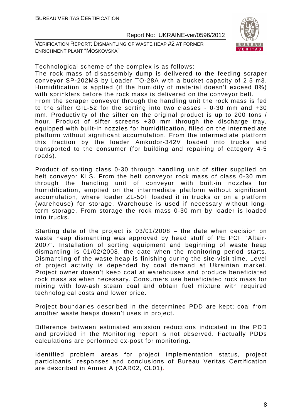VERIFICATION REPORT: DISMANTLING OF WASTE HEAP #2 AT FORMER ENRICHMENT PLANT "MOSKOVSKA"



Technological scheme of the complex is as follows:

The rock mass of disassembly dump is delivered to the feeding scraper conveyor SP-202MS by Loader TO-28A with a bucket capacity of 2.5 m3. Humidification is applied (if the humidity of material doesn't exceed 8%) with sprinklers before the rock mass is delivered on the conveyor belt. From the scraper conveyor through the handling unit the rock mass is fed to the sifter GIL-52 for the sorting into two classes - 0-30 mm and +30 mm. Productivity of the sifter on the original product is up to 200 tons / hour. Product of sifter screens +30 mm through the discharge tray, equipped with built-in nozzles for humidification, filled on the intermediate platform without significant accumulation. From the intermediate platform this fraction by the loader Amkodor-342V loaded into trucks and transported to the consumer (for building and repairing of category 4-5 roads).

Product of sorting class 0-30 through handling unit of sifter supplied on belt conveyor KLS. From the belt conveyor rock mass of class 0-30 mm through the handling unit of conveyor with built-in nozzles for humidification, emptied on the intermediate platform without significant accumulation, where loader ZL-50F loaded it in trucks or on a platform (warehouse) for storage. Warehouse is used if necessary without longterm storage. From storage the rock mass 0-30 mm by loader is loaded into trucks.

Starting date of the project is 03/01/2008 – the date when decision on waste heap dismantling was approved by head stuff of PE PCF "Altair-2007". Installation of sorting equipment and beginning of waste heap dismantling is 01/02/2008, the date when the monitoring period starts. Dismantling of the waste heap is finishing during the site-visit time. Level of project activity is depended by coal demand at Ukrainian market. Project owner doesn't keep coal at warehouses and produce beneficiated rock mass as when necessary. Consumers use beneficiated rock mass for mixing with low-ash steam coal and obtain fuel mixture with required technological costs and lower price.

Project boundaries described in the determined PDD are kept; coal from another waste heaps doesn't uses in project.

Difference between estimated emission reductions indicated in the PDD and provided in the Monitoring report is not observed. Factually PDDs calculations are performed ex-post for monitoring.

Identified problem areas for project implementation status, project participants' responses and conclusions of Bureau Veritas Certification are described in Annex A (CAR02, CL01).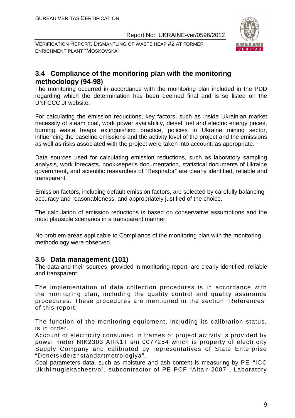VERIFICATION REPORT: DISMANTLING OF WASTE HEAP #2 AT FORMER ENRICHMENT PLANT "MOSKOVSKA"



#### **3.4 Compliance of the monitoring plan with the monitoring methodology (94-98)**

The monitoring occurred in accordance with the monitoring plan included in the PDD regarding which the determination has been deemed final and is so listed on the UNFCCC JI website.

For calculating the emission reductions, key factors, such as inside Ukrainian market necessity of steam coal, work power availability, diesel fuel and electric energy prices, burning waste heaps extinguishing practice, policies in Ukraine mining sector, influencing the baseline emissions and the activity level of the project and the emissions as well as risks associated with the project were taken into account, as appropriate.

Data sources used for calculating emission reductions, such as laboratory sampling analysis, work forecasts, bookkeeper's documentation, statistical documents of Ukraine government, and scientific researches of "Respirator" are clearly identified, reliable and transparent.

Emission factors, including default emission factors, are selected by carefully balancing accuracy and reasonableness, and appropriately justified of the choice.

The calculation of emission reductions is based on conservative assumptions and the most plausible scenarios in a transparent manner.

No problem areas applicable to Compliance of the monitoring plan with the monitoring methodology were observed.

#### **3.5 Data management (101)**

The data and their sources, provided in monitoring report, are clearly identified, reliable and transparent.

The implementation of data collection procedures is in accordance with the monitoring plan, including the quality control and quality assurance procedures. These procedures are mentioned in the section "References" of this report.

The function of the monitoring equipment, including its calibration status, is in order.

Account of electricity consumed in frames of project activity is provided by power meter NIK2303 ARK1T s/n 0077254 which is property of electricity Supply Company and calibrated by representatives of State Enterprise "Donetskderzhstandartmetrologiya".

Coal parameters data, such as moisture and ash content is measuring by PE "ICC Ukrhimuglekachestvo", subcontractor of PE PCF "Altair-2007". Laboratory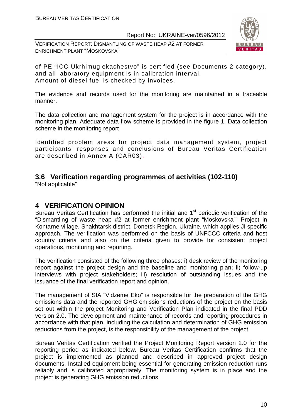VERIFICATION REPORT: DISMANTLING OF WASTE HEAP #2 AT FORMER ENRICHMENT PLANT "MOSKOVSKA"



of PE "ICC Ukrhimuglekachestvo" is certified (see Documents 2 category), and all laboratory equipment is in calibration interval. Amount of diesel fuel is checked by invoices.

The evidence and records used for the monitoring are maintained in a traceable manner.

The data collection and management system for the project is in accordance with the monitoring plan. Adequate data flow scheme is provided in the figure 1. Data collection scheme in the monitoring report

Identified problem areas for project data management system, project participants' responses and conclusions of Bureau Veritas Certification are described in Annex A (CAR03).

#### **3.6 Verification regarding programmes of activities (102-110)**

"Not applicable"

#### **4 VERIFICATION OPINION**

Bureau Veritas Certification has performed the initial and  $1<sup>st</sup>$  periodic verification of the "Dismantling of waste heap #2 at former enrichment plant "Moskovska"" Project in Kontarne village, Shakhtarsk district, Donetsk Region, Ukraine, which applies JI specific approach. The verification was performed on the basis of UNFCCC criteria and host country criteria and also on the criteria given to provide for consistent project operations, monitoring and reporting.

The verification consisted of the following three phases: i) desk review of the monitoring report against the project design and the baseline and monitoring plan; ii) follow-up interviews with project stakeholders; iii) resolution of outstanding issues and the issuance of the final verification report and opinion.

The management of SIA "Vidzeme Eko" is responsible for the preparation of the GHG emissions data and the reported GHG emissions reductions of the project on the basis set out within the project Monitoring and Verification Plan indicated in the final PDD version 2.0. The development and maintenance of records and reporting procedures in accordance with that plan, including the calculation and determination of GHG emission reductions from the project, is the responsibility of the management of the project.

Bureau Veritas Certification verified the Project Monitoring Report version 2.0 for the reporting period as indicated below. Bureau Veritas Certification confirms that the project is implemented as planned and described in approved project design documents. Installed equipment being essential for generating emission reduction runs reliably and is calibrated appropriately. The monitoring system is in place and the project is generating GHG emission reductions.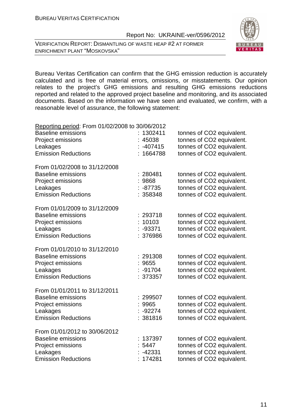VERIFICATION REPORT: DISMANTLING OF WASTE HEAP #2 AT FORMER ENRICHMENT PLANT "MOSKOVSKA"



Bureau Veritas Certification can confirm that the GHG emission reduction is accurately calculated and is free of material errors, omissions, or misstatements. Our opinion relates to the project's GHG emissions and resulting GHG emissions reductions reported and related to the approved project baseline and monitoring, and its associated documents. Based on the information we have seen and evaluated, we confirm, with a reasonable level of assurance, the following statement:

| Reporting period: From 01/02/2008 to 30/06/2012                   |                               |                                                                                     |
|-------------------------------------------------------------------|-------------------------------|-------------------------------------------------------------------------------------|
| <b>Baseline emissions</b><br><b>Project emissions</b><br>Leakages | 1302411<br>45038<br>$-407415$ | tonnes of CO2 equivalent.<br>tonnes of CO2 equivalent.<br>tonnes of CO2 equivalent. |
| <b>Emission Reductions</b>                                        | : 1664788                     | tonnes of CO2 equivalent.                                                           |
| From 01/02/2008 to 31/12/2008                                     |                               |                                                                                     |
| <b>Baseline emissions</b>                                         | : 280481                      | tonnes of CO2 equivalent.                                                           |
| Project emissions                                                 | 9868                          | tonnes of CO2 equivalent.                                                           |
| Leakages                                                          | $: -87735$                    | tonnes of CO2 equivalent.                                                           |
| <b>Emission Reductions</b>                                        | 358348                        | tonnes of CO2 equivalent.                                                           |
| From 01/01/2009 to 31/12/2009                                     |                               |                                                                                     |
| <b>Baseline emissions</b>                                         | : 293718                      | tonnes of CO2 equivalent.                                                           |
| Project emissions                                                 | 10103                         | tonnes of CO2 equivalent.                                                           |
| Leakages                                                          | $: -93371$                    | tonnes of CO2 equivalent.                                                           |
| <b>Emission Reductions</b>                                        | : 376986                      | tonnes of CO2 equivalent.                                                           |
| From 01/01/2010 to 31/12/2010                                     |                               |                                                                                     |
| <b>Baseline emissions</b>                                         | : 291308                      | tonnes of CO2 equivalent.                                                           |
| Project emissions                                                 | :9655                         | tonnes of CO2 equivalent.                                                           |
| Leakages                                                          | $-91704$                      | tonnes of CO2 equivalent.                                                           |
| <b>Emission Reductions</b>                                        | 373357                        | tonnes of CO2 equivalent.                                                           |
| From 01/01/2011 to 31/12/2011                                     |                               |                                                                                     |
| <b>Baseline emissions</b>                                         | 299507                        | tonnes of CO2 equivalent.                                                           |
| Project emissions                                                 | 9965                          | tonnes of CO2 equivalent.                                                           |
| Leakages                                                          | $-92274$                      | tonnes of CO2 equivalent.                                                           |
| <b>Emission Reductions</b>                                        | : 381816                      | tonnes of CO2 equivalent.                                                           |
| From 01/01/2012 to 30/06/2012                                     |                               |                                                                                     |
| <b>Baseline emissions</b>                                         | : 137397                      | tonnes of CO2 equivalent.                                                           |
| Project emissions                                                 | 5447                          | tonnes of CO2 equivalent.                                                           |
| Leakages                                                          | $-42331$                      | tonnes of CO2 equivalent.                                                           |
| <b>Emission Reductions</b>                                        | : 174281                      | tonnes of CO2 equivalent.                                                           |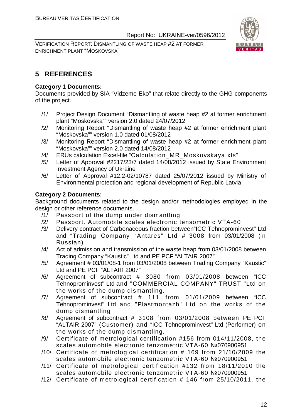VERIFICATION REPORT: DISMANTLING OF WASTE HEAP #2 AT FORMER ENRICHMENT PLANT "MOSKOVSKA"



#### **5 REFERENCES**

#### **Category 1 Documents:**

Documents provided by SIA "Vidzeme Eko" that relate directly to the GHG components of the project.

- /1/ Project Design Document "Dismantling of waste heap #2 at former enrichment plant "Moskovska"" version 2.0 dated 24/07/2012
- /2/ Monitoring Report "Dismantling of waste heap #2 at former enrichment plant "Moskovska"" version 1.0 dated 01/08/2012
- /3/ Monitoring Report "Dismantling of waste heap #2 at former enrichment plant "Moskovska"" version 2.0 dated 14/08/2012
- /4/ ERUs calculation Excel-file "Calculation MR Moskovskaya.xls"
- /5/ Letter of Approval #2217/23/7 dated 14/08/2012 issued by State Environment Investment Agency of Ukraine
- /6/ Letter of Approval #12.2-02/10787 dated 25/07/2012 issued by Ministry of Environmental protection and regional development of Republic Latvia

#### **Category 2 Documents:**

Background documents related to the design and/or methodologies employed in the design or other reference documents.

- /1/ Passport of the dump under dismantling
- /2/ Passport. Automobile scales electronic tensometric VТА-60
- /3/ Delivery contract of Carbonaceous fraction between"ICC Tehnoprominvest" Ltd and "Trading Company "Antares" Ltd # 3008 from 03/01/2008 (in Russian).
- /4/ Act of admission and transmission of the waste heap from 03/01/2008 between Trading Company "Kaustic" Ltd and PE PCF "ALTAIR 2007"
- /5/ Agreement # 03/01/08-1 from 03/01/2008 between Trading Company "Kaustic" Ltd and PE PCF "ALTAIR 2007"
- /6/ Agreement of subcontract # 3080 from 03/01/2008 between "ICC Tehnoprominvest" Ltd and "COMMERCIAL COMPANY" TRUST "Ltd on the works of the dump dismantling.
- /7/ Agreement of subcontract # 111 from 01/01/2009 between "ICC Tehnoprominvest" Ltd and "Plastmontazh" Ltd on the works of the dump dismantling
- /8/ Agreement of subcontract # 3108 from 03/01/2008 between PE PCF "ALTAIR 2007" (Customer) and "ICC Tehnoprominvest" Ltd (Performer) on the works of the dump dismantling.
- /9/ Certificate of metrological certification #156 from 014/11/2008, the scales automobile electronic tenzometric VTA-60 №070900951
- /10/ Certificate of metrological certification # 169 from 21/10/2009 the scales automobile electronic tenzometric VTA-60 №070900951
- /11/ Certificate of metrological certification #132 from 18/11/2010 the scales automobile electronic tenzometric VTA-60 №070900951
- /12/ Certificate of metrological certification # 146 from 25/10/2011. the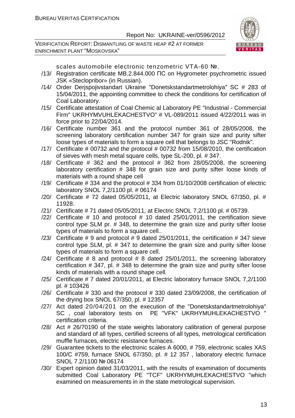VERIFICATION REPORT: DISMANTLING OF WASTE HEAP #2 AT FORMER ENRICHMENT PLANT "MOSKOVSKA"



scales automobile electronic tenzometric VTA-60 №.

- /13/ Registration certificate MB.2.844.000 ПС on Hygrometer psychrometric issued JSK «Steclopribor» (in Russian).
- /14/ Order Derjspojivstandart Ukraine "Donetskstandartmetrolohiya" SC # 283 of 15/04/2011, the appointing committee to check the conditions for certification of Coal Laboratory.
- /15/ Certificate attestation of Coal Chemic al Laboratory PE "Industrial Commercial Firm" UKRHYMVUHLEKACHESTVO" # VL-089/2011 issued 4/22/2011 was in force prior to 22/04/2014.
- /16/ Certificate number 361 and the protocol number 361 of 28/05/2008, the screening laboratory certification number 347 for grain size and purity sifter loose types of materials to form a square cell that belongs to JSC "Rodnik".
- /17/ Certificate # 00732 and the protocol # 00732 from 15/08/2010, the certification of sieves with mesh metal square cells, type SL-200, pl. # 347.
- /18/ Certificate  $#$  362 and the protocol  $#$  362 from 28/05/2008, the screening laboratory certification # 348 for grain size and purity sifter loose kinds of materials with a round shape cell
- /19/ Certificate # 334 and the protocol # 334 from 01/10/2008 certification of electric laboratory SNOL 7,2/1100 pl. # 06174
- /20/ Certificate # 72 dated 05/05/2011, at Electric laboratory SNOL 67/350, pl. # 11928.
- /21/ Certificate # 71 dated 05/05/2011, at Electric SNOL 7,2/1100 pl. # 05739.
- /22/ Certificate # 10 and protocol # 10 dated 25/01/2011, the certification sieve control type SLM pr. # 348, to determine the grain size and purity sifter loose types of materials to form a square cell..
- $/23/$  Certificate # 9 and protocol # 9 dated 25/01/2011, the certification # 347 sieve control type SLM, pl. # 347 to determine the grain size and purity sifter loose types of materials to form a square cell.
- $/24/$  Certificate # 8 and protocol # 8 dated 25/01/2011, the screening laboratory certification # 347, pl. # 348 to determine the grain size and purity sifter loose kinds of materials with a round shape cell.
- /25/ Certificate # 7 dated 20/01/2011, at Electric laboratory furnace SNOL 7,2/1100 pl. # 103426
- /26/ Certificate # 330 and the protocol # 330 dated 23/09/2008, the certification of the drying box SNOL 67/350, pl. # 12357
- /27/ Act dated 20/04/201 on the execution of the "Donetskstandartmetrolohiya" SC , coal laboratory tests on PE "VFK" UKRHYMUHLEKACHESTVO " certification criteria.
- /28/ Act # 26/70190 of the state weights laboratory calibration of general purpose and standard of all types, certified screens of all types, metrological certification muffle furnaces, electric resistance furnaces.
- /29/ Guarantee tickets to the electronic scales A 6000, # 759, electronic scales XAS 100/C #759, furnace SNOL 67/350, pl. # 12 357 , laboratory electric furnace SNOL 7.2/1100 № 06174
- /30/ Expert opinion dated 31/03/2011, with the results of examination of documents submitted Coal Laboratory PE "TCF" UKRHYMUHLEKACHESTVO "which examined on measurements in in the state metrological supervision.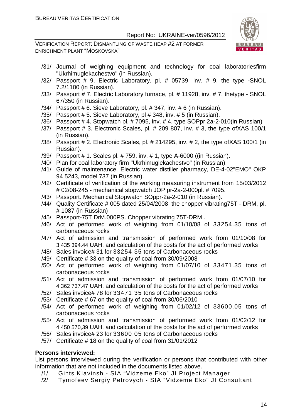VERIFICATION REPORT: DISMANTLING OF WASTE HEAP #2 AT FORMER ENRICHMENT PLANT "MOSKOVSKA"



- /31/ Journal of weighing equipment and technology for coal laboratoriesfirm "Ukrhimuglekachestvo" (in Russian).
- /32/ Passport # 9. Electric Laboratory, pl. # 05739, inv. # 9, the type -SNOL 7.2/1100 (in Russian).
- /33/ Passport # 7. Electric Laboratory furnace, pl. # 11928, inv. # 7, thetype SNOL 67/350 (in Russian).
- /34/ Passport # 6. Sieve Laboratory, pl. # 347, inv. # 6 (in Russian).
- /35/ Passport # 5. Sieve Laboratory, pl # 348, inv. # 5 (in Russian).
- /36/ Passport # 4. Stopwatch pl. # 7095, inv. # 4, type SOPpr 2a-2-010(in Russian)
- /37/ Passport # 3. Electronic Scales, pl. # 209 807, inv. # 3, the type ofXAS 100/1 (in Russian).
- /38/ Passport # 2. Electronic Scales, pl. # 214295, inv. # 2, the type ofXAS 100/1 (in Russian).
- /39/ Passport # 1. Scales pl. # 759, inv. # 1, type A-6000 ((in Russian).
- /40/ Plan for coal laboratory firm "Ukrhimuglekachestvo" (in Russian).
- /41/ Guide of maintenance. Electric water distiller pharmacy, DE-4-02"EMO" OKP 94 5243, model 737 (in Russian).
- /42/ Certificate of verification of the working measuring instrument from 15/03/2012 # 02/08-245 - mechanical stopwatch JOP pr-2a-2-000pl. # 7095.
- /43/ Passport. Mechanical Stopwatch SOppr-2a-2-010 (in Russian).
- /44/ Quality Certificate # 005 dated 25/04/2008, the chopper vibrating75T DRM, pl. # 1087 (in Russian)
- /45/ Passport-75T DrM.000PS. Chopper vibrating 75T-DRM .
- /46/ Act of performed work of weighing from 01/10/08 of 33254.35 tons of carbonaceous rocks
- /47/ Act of admission and transmission of performed work from 01/10/08 for 3 435 394.44 UAH. and calculation of the costs for the act of performed works
- /48/ Sales invoice# 31 for 33254.35 tons of Carbonaceous rocks
- /49/ Certificate # 33 on the quality of coal from 30/09/2008
- /50/ Act of performed work of weighing from 01/07/10 of 33471.35 tons of carbonaceous rocks
- /51/ Act of admission and transmission of performed work from 01/07/10 for 4 362 737.47 UAH. and calculation of the costs for the act of performed works
- /52/ Sales invoice# 78 for 33471.35 tons of Carbonaceous rocks
- /53/ Certificate # 67 on the quality of coal from 30/06/2010
- /54/ Act of performed work of weighing from 01/02/12 of 33600.05 tons of carbonaceous rocks
- /55/ Act of admission and transmission of performed work from 01/02/12 for 4 450 570,39 UAH. and calculation of the costs for the act of performed works
- /56/ Sales invoice# 23 for 33600.05 tons of Carbonaceous rocks
- /57/ Certificate # 18 on the quality of coal from 31/01/2012

#### **Persons interviewed:**

List persons interviewed during the verification or persons that contributed with other information that are not included in the documents listed above.

- /1/ Gints KIavinsh SIA "Vidzeme Eko" JI Project Manager
- /2/ Tymofeev Sergiy Petrovych SIA "Vidzeme Eko" JI Consultant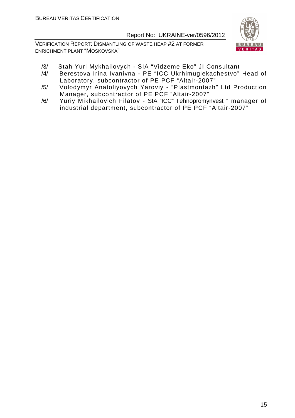VERIFICATION REPORT: DISMANTLING OF WASTE HEAP #2 AT FORMER ENRICHMENT PLANT "MOSKOVSKA"



- /3/ Stah Yuri Mykhailovych SIA "Vidzeme Eko" JI Consultant
- /4/ Berestova Irina Ivanivna PE "ICC Ukrhimuglekachestvo" Head of Laboratory, subcontractor of PE PCF "Altair-2007"
- /5/ Volodymyr Anatoliyovych Yaroviy "Plastmontazh" Ltd Production Manager, subcontractor of PE PCF "Altair-2007"
- /6/ Yuriy Mikhailovich Filatov SIA "ICC" Tehnopromynvest " manager of industrial department, subcontractor of PE PCF "Altair-2007"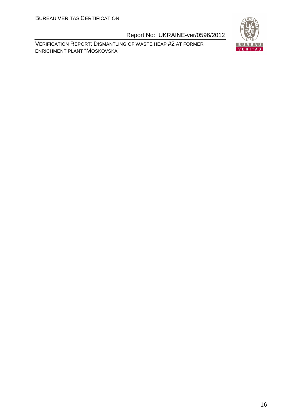VERIFICATION REPORT: DISMANTLING OF WASTE HEAP #2 AT FORMER ENRICHMENT PLANT "MOSKOVSKA"

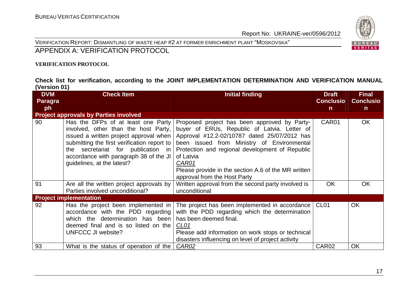

# BUREAU<br>VERITAS

### APPENDIX A: VERIFICATION PROTOCOL

#### **VERIFICATION PROTOCOL**

#### **Check list for verification, according to the JOINT IMPLEMENTATION DETERMINATION AND VERIFICATION MANUAL (Version 01)**

| <b>DVM</b>     | <b>Check Item</b>                                                                                                                                                                                                                                                                 | <b>Initial finding</b>                                                                                                                                                                                                                                                                                                                                     | <b>Draft</b>      | <b>Final</b>     |
|----------------|-----------------------------------------------------------------------------------------------------------------------------------------------------------------------------------------------------------------------------------------------------------------------------------|------------------------------------------------------------------------------------------------------------------------------------------------------------------------------------------------------------------------------------------------------------------------------------------------------------------------------------------------------------|-------------------|------------------|
| <b>Paragra</b> |                                                                                                                                                                                                                                                                                   |                                                                                                                                                                                                                                                                                                                                                            | <b>Conclusio</b>  | <b>Conclusio</b> |
| ph             |                                                                                                                                                                                                                                                                                   |                                                                                                                                                                                                                                                                                                                                                            | $\mathsf{n}$      | $\mathsf{n}$     |
|                | <b>Project approvals by Parties involved</b>                                                                                                                                                                                                                                      |                                                                                                                                                                                                                                                                                                                                                            |                   |                  |
| 90             | Has the DFPs of at least one Party<br>involved, other than the host Party,<br>issued a written project approval when<br>submitting the first verification report to<br>the secretariat for publication in<br>accordance with paragraph 38 of the JI<br>guidelines, at the latest? | Proposed project has been approved by Party-<br>buyer of ERUs, Republic of Latvia. Letter of<br>Approval #12.2-02/10787 dated 25/07/2012 has<br>been issued from Ministry of Environmental<br>Protection and regional development of Republic<br>of Latvia<br>CAR01<br>Please provide in the section A.6 of the MR written<br>approval from the Host Party | CAR01             | <b>OK</b>        |
| 91             | Are all the written project approvals by<br>Parties involved unconditional?                                                                                                                                                                                                       | Written approval from the second party involved is<br>unconditional                                                                                                                                                                                                                                                                                        | <b>OK</b>         | <b>OK</b>        |
|                | <b>Project implementation</b>                                                                                                                                                                                                                                                     |                                                                                                                                                                                                                                                                                                                                                            |                   |                  |
| 92             | Has the project been implemented in<br>accordance with the PDD regarding<br>which the determination has been<br>deemed final and is so listed on the<br>UNFCCC JI website?                                                                                                        | The project has been implemented in accordance<br>with the PDD regarding which the determination<br>has been deemed final.<br>CL <sub>01</sub><br>Please add information on work stops or technical<br>disasters influencing on level of project activity                                                                                                  | CL <sub>01</sub>  | <b>OK</b>        |
| 93             | What is the status of operation of the                                                                                                                                                                                                                                            | CAR02                                                                                                                                                                                                                                                                                                                                                      | CAR <sub>02</sub> | <b>OK</b>        |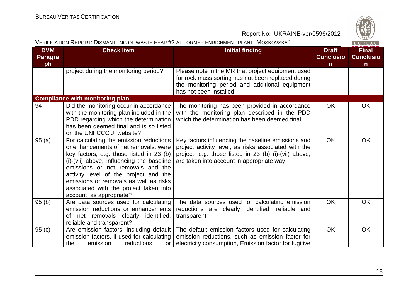

| Report No: UKRAINE-ver/0596/2012                                                         |                                                                                                                                                                                                                                                                                                                                                                         |                                                                                                                                                                                                                  |                                                  |                                                  |
|------------------------------------------------------------------------------------------|-------------------------------------------------------------------------------------------------------------------------------------------------------------------------------------------------------------------------------------------------------------------------------------------------------------------------------------------------------------------------|------------------------------------------------------------------------------------------------------------------------------------------------------------------------------------------------------------------|--------------------------------------------------|--------------------------------------------------|
| VERIFICATION REPORT: DISMANTLING OF WASTE HEAP #2 AT FORMER ENRICHMENT PLANT "MOSKOVSKA" |                                                                                                                                                                                                                                                                                                                                                                         |                                                                                                                                                                                                                  |                                                  | BUREAU                                           |
| <b>DVM</b><br><b>Paragra</b><br>ph                                                       | <b>Check Item</b>                                                                                                                                                                                                                                                                                                                                                       | <b>Initial finding</b>                                                                                                                                                                                           | <b>Draft</b><br><b>Conclusio</b><br>$\mathsf{n}$ | <b>Final</b><br><b>Conclusio</b><br>$\mathsf{n}$ |
|                                                                                          | project during the monitoring period?                                                                                                                                                                                                                                                                                                                                   | Please note in the MR that project equipment used<br>for rock mass sorting has not been replaced during<br>the monitoring period and additional equipment<br>has not been installed                              |                                                  |                                                  |
|                                                                                          | <b>Compliance with monitoring plan</b>                                                                                                                                                                                                                                                                                                                                  |                                                                                                                                                                                                                  |                                                  |                                                  |
| 94                                                                                       | Did the monitoring occur in accordance<br>with the monitoring plan included in the<br>PDD regarding which the determination<br>has been deemed final and is so listed<br>on the UNFCCC JI website?                                                                                                                                                                      | The monitoring has been provided in accordance<br>with the monitoring plan described in the PDD<br>which the determination has been deemed final.                                                                | <b>OK</b>                                        | OK                                               |
| 95(a)                                                                                    | For calculating the emission reductions<br>or enhancements of net removals, were<br>key factors, e.g. those listed in 23 (b)<br>(i)-(vii) above, influencing the baseline<br>emissions or net removals and the<br>activity level of the project and the<br>emissions or removals as well as risks<br>associated with the project taken into<br>account, as appropriate? | Key factors influencing the baseline emissions and<br>project activity level, as risks associated with the<br>project, e.g. those listed in 23 (b) (i)-(vii) above,<br>are taken into account in appropriate way | <b>OK</b>                                        | OK                                               |
| 95(b)                                                                                    | Are data sources used for calculating<br>emission reductions or enhancements<br>of net removals clearly identified,<br>reliable and transparent?                                                                                                                                                                                                                        | The data sources used for calculating emission<br>reductions are clearly identified, reliable and<br>transparent                                                                                                 | <b>OK</b>                                        | OK                                               |
| 95(c)                                                                                    | Are emission factors, including default<br>emission factors, if used for calculating<br>the<br>emission<br>reductions<br>or                                                                                                                                                                                                                                             | The default emission factors used for calculating<br>emission reductions, such as emission factor for<br>electricity consumption, Emission factor for fugitive                                                   | <b>OK</b>                                        | OK                                               |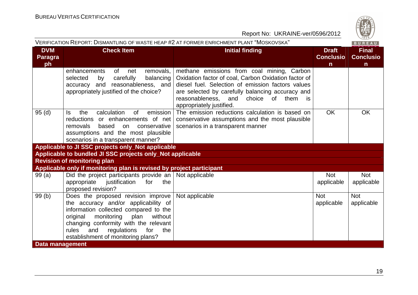

| Report No: UKRAINE-ver/0596/2012                                                         |                                                                                                                                                                                                                                                                                              |                                                                                                                                                                                                                                                                                           |                                                  |                                                  |  |  |
|------------------------------------------------------------------------------------------|----------------------------------------------------------------------------------------------------------------------------------------------------------------------------------------------------------------------------------------------------------------------------------------------|-------------------------------------------------------------------------------------------------------------------------------------------------------------------------------------------------------------------------------------------------------------------------------------------|--------------------------------------------------|--------------------------------------------------|--|--|
| VERIFICATION REPORT: DISMANTLING OF WASTE HEAP #2 AT FORMER ENRICHMENT PLANT "MOSKOVSKA" |                                                                                                                                                                                                                                                                                              |                                                                                                                                                                                                                                                                                           |                                                  |                                                  |  |  |
| <b>DVM</b><br><b>Paragra</b><br>ph                                                       | <b>Check Item</b>                                                                                                                                                                                                                                                                            | <b>Initial finding</b>                                                                                                                                                                                                                                                                    | <b>Draft</b><br><b>Conclusio</b><br>$\mathsf{n}$ | <b>Final</b><br><b>Conclusio</b><br>$\mathsf{n}$ |  |  |
|                                                                                          | of<br>removals,<br>enhancements<br>net<br>carefully<br>balancing<br>selected<br>by<br>reasonableness, and<br>and<br>accuracy<br>appropriately justified of the choice?                                                                                                                       | methane emissions from coal mining, Carbon<br>Oxidation factor of coal, Carbon Oxidation factor of<br>diesel fuel. Selection of emission factors values<br>are selected by carefully balancing accuracy and<br>reasonableness,<br>of<br>and choice<br>them is<br>appropriately justified. |                                                  |                                                  |  |  |
| 95(d)                                                                                    | emission<br>calculation<br><b>of</b><br>the<br>ls.<br>reductions or enhancements of net<br>removals<br>based<br>conservative<br>on<br>assumptions and the most plausible<br>scenarios in a transparent manner?                                                                               | The emission reductions calculation is based on<br>conservative assumptions and the most plausible<br>scenarios in a transparent manner                                                                                                                                                   | OK                                               | <b>OK</b>                                        |  |  |
| Applicable to JI SSC projects only_Not applicable                                        |                                                                                                                                                                                                                                                                                              |                                                                                                                                                                                                                                                                                           |                                                  |                                                  |  |  |
| Applicable to bundled JI SSC projects only_Not applicable                                |                                                                                                                                                                                                                                                                                              |                                                                                                                                                                                                                                                                                           |                                                  |                                                  |  |  |
| <b>Revision of monitoring plan</b>                                                       |                                                                                                                                                                                                                                                                                              |                                                                                                                                                                                                                                                                                           |                                                  |                                                  |  |  |
|                                                                                          | Applicable only if monitoring plan is revised by project participant                                                                                                                                                                                                                         |                                                                                                                                                                                                                                                                                           |                                                  |                                                  |  |  |
| 99(a)                                                                                    | Did the project participants provide an   Not applicable<br>appropriate<br>justification<br>the<br>for<br>proposed revision?                                                                                                                                                                 |                                                                                                                                                                                                                                                                                           | <b>Not</b><br>applicable                         | <b>Not</b><br>applicable                         |  |  |
| 99(b)<br><b>Data management</b>                                                          | Does the proposed revision improve<br>the accuracy and/or applicability of<br>information collected compared to the<br>monitoring<br>plan<br>original<br>without<br>changing conformity with the relevant<br>rules<br>and<br>regulations<br>for<br>the<br>establishment of monitoring plans? | Not applicable                                                                                                                                                                                                                                                                            | <b>Not</b><br>applicable                         | <b>Not</b><br>applicable                         |  |  |
|                                                                                          |                                                                                                                                                                                                                                                                                              |                                                                                                                                                                                                                                                                                           |                                                  |                                                  |  |  |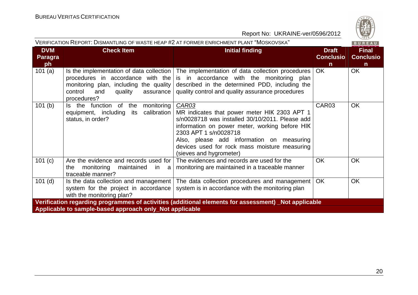

| VERIFICATION REPORT: DISMANTLING OF WASTE HEAP #2 AT FORMER ENRICHMENT PLANT "MOSKOVSKA"<br>BUREAU  |                                                                                                                                                                                  |                                                                                                                                                                                                                                                                                                              |                                       |                                       |
|-----------------------------------------------------------------------------------------------------|----------------------------------------------------------------------------------------------------------------------------------------------------------------------------------|--------------------------------------------------------------------------------------------------------------------------------------------------------------------------------------------------------------------------------------------------------------------------------------------------------------|---------------------------------------|---------------------------------------|
| <b>DVM</b><br><b>Paragra</b><br>ph                                                                  | <b>Check Item</b>                                                                                                                                                                | <b>Initial finding</b>                                                                                                                                                                                                                                                                                       | <b>Draft</b><br><b>Conclusio</b><br>n | <b>Final</b><br><b>Conclusio</b><br>n |
| 101 $(a)$                                                                                           | Is the implementation of data collection<br>procedures in accordance with the<br>monitoring plan, including the quality<br>and<br>control<br>quality<br>assurance<br>procedures? | The implementation of data collection procedures<br>is in accordance with the monitoring plan<br>described in the determined PDD, including the<br>quality control and quality assurance procedures                                                                                                          | OK                                    | <b>OK</b>                             |
| 101(b)                                                                                              | Is the function of<br>the<br>monitoring<br>calibration<br>equipment, including its<br>status, in order?                                                                          | CAR03<br>MR indicates that power meter HIK 2303 APT 1<br>s/n0028718 was installed 30/10/2011. Please add<br>information on power meter, working before HIK<br>2303 APT 1 s/n0028718<br>Also, please add information on measuring<br>devices used for rock mass moisture measuring<br>(sieves and hygrometer) | CAR03                                 | <b>OK</b>                             |
| 101 (c)                                                                                             | Are the evidence and records used for<br>the monitoring<br>maintained<br>in a<br>traceable manner?                                                                               | The evidences and records are used for the<br>monitoring are maintained in a traceable manner                                                                                                                                                                                                                | <b>OK</b>                             | <b>OK</b>                             |
| $101$ (d)                                                                                           | Is the data collection and management<br>system for the project in accordance<br>with the monitoring plan?                                                                       | The data collection procedures and management<br>system is in accordance with the monitoring plan                                                                                                                                                                                                            | OK                                    | <b>OK</b>                             |
| Verification regarding programmes of activities (additional elements for assessment) Not applicable |                                                                                                                                                                                  |                                                                                                                                                                                                                                                                                                              |                                       |                                       |
| Applicable to sample-based approach only Not applicable                                             |                                                                                                                                                                                  |                                                                                                                                                                                                                                                                                                              |                                       |                                       |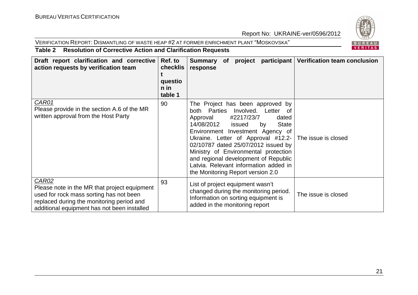#### VERIFICATION REPORT: DISMANTLING OF WASTE HEAP #2 AT FORMER ENRICHMENT PLANT "MOSKOVSKA"



#### **Table 2 Resolution of Corrective Action and Clarification Requests**

| Draft report clarification and corrective<br>action requests by verification team                                                                                                                   | Ref. to<br><b>checklis</b><br>questio<br>n in<br>table 1 | Summary of project<br>response                                                                                                                                                                                                                                                                                                                                                                                                       | participant   Verification team conclusion |
|-----------------------------------------------------------------------------------------------------------------------------------------------------------------------------------------------------|----------------------------------------------------------|--------------------------------------------------------------------------------------------------------------------------------------------------------------------------------------------------------------------------------------------------------------------------------------------------------------------------------------------------------------------------------------------------------------------------------------|--------------------------------------------|
| CAR01<br>Please provide in the section A.6 of the MR<br>written approval from the Host Party                                                                                                        | 90                                                       | The Project has been approved by<br>both Parties Involved. Letter of<br>#2217/23/7<br>Approval<br>dated<br>14/08/2012<br><b>State</b><br>issued<br>by<br>Environment Investment Agency of<br>Ukraine. Letter of Approval #12.2-<br>02/10787 dated 25/07/2012 issued by<br>Ministry of Environmental protection<br>and regional development of Republic<br>Latvia. Relevant information added in<br>the Monitoring Report version 2.0 | The issue is closed                        |
| <b>CAR02</b><br>Please note in the MR that project equipment<br>used for rock mass sorting has not been<br>replaced during the monitoring period and<br>additional equipment has not been installed | 93                                                       | List of project equipment wasn't<br>changed during the monitoring period.<br>Information on sorting equipment is<br>added in the monitoring report                                                                                                                                                                                                                                                                                   | The issue is closed                        |